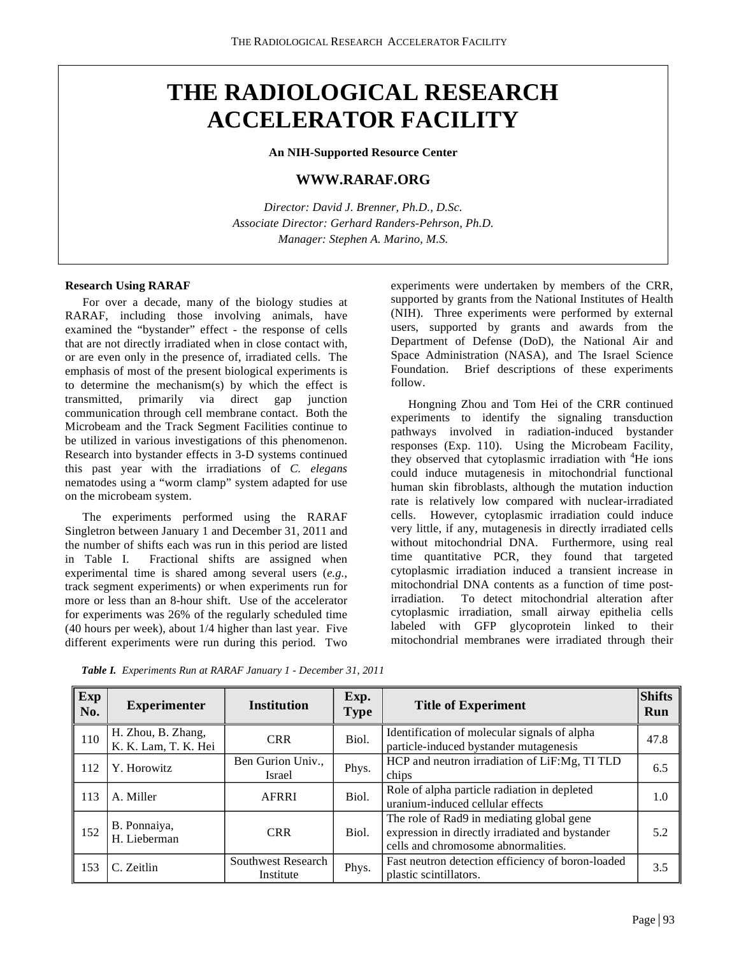# **THE RADIOLOGICAL RESEARCH ACCELERATOR FACILITY**

**An NIH-Supported Resource Center**

# **WWW.RARAF.ORG**

*Director: David J. Brenner, Ph.D., D.Sc. Associate Director: Gerhard Randers-Pehrson, Ph.D. Manager: Stephen A. Marino, M.S.*

#### **Research Using RARAF**

For over a decade, many of the biology studies at RARAF, including those involving animals, have examined the "bystander" effect - the response of cells that are not directly irradiated when in close contact with, or are even only in the presence of, irradiated cells. The emphasis of most of the present biological experiments is to determine the mechanism(s) by which the effect is transmitted, primarily via direct gap junction communication through cell membrane contact. Both the Microbeam and the Track Segment Facilities continue to be utilized in various investigations of this phenomenon. Research into bystander effects in 3-D systems continued this past year with the irradiations of *C. elegans* nematodes using a "worm clamp" system adapted for use on the microbeam system.

The experiments performed using the RARAF Singletron between January 1 and December 31, 2011 and the number of shifts each was run in this period are listed in Table I. Fractional shifts are assigned when experimental time is shared among several users (*e.g.*, track segment experiments) or when experiments run for more or less than an 8-hour shift. Use of the accelerator for experiments was 26% of the regularly scheduled time (40 hours per week), about 1/4 higher than last year. Five different experiments were run during this period.Two

experiments were undertaken by members of the CRR, supported by grants from the National Institutes of Health (NIH). Three experiments were performed by external users, supported by grants and awards from the Department of Defense (DoD), the National Air and Space Administration (NASA), and The Israel Science Foundation. Brief descriptions of these experiments follow.

Hongning Zhou and Tom Hei of the CRR continued experiments to identify the signaling transduction pathways involved in radiation-induced bystander responses (Exp. 110). Using the Microbeam Facility, they observed that cytoplasmic irradiation with <sup>4</sup>He ions could induce mutagenesis in mitochondrial functional human skin fibroblasts, although the mutation induction rate is relatively low compared with nuclear-irradiated cells. However, cytoplasmic irradiation could induce very little, if any, mutagenesis in directly irradiated cells without mitochondrial DNA. Furthermore, using real time quantitative PCR, they found that targeted cytoplasmic irradiation induced a transient increase in mitochondrial DNA contents as a function of time postirradiation. To detect mitochondrial alteration after cytoplasmic irradiation, small airway epithelia cells labeled with GFP glycoprotein linked to their mitochondrial membranes were irradiated through their

| <b>Exp</b><br>No. | <b>Experimenter</b>                        | <b>Institution</b>              | Exp.<br><b>Type</b> | <b>Title of Experiment</b>                                                                                                          | <b>Shifts</b><br>Run |
|-------------------|--------------------------------------------|---------------------------------|---------------------|-------------------------------------------------------------------------------------------------------------------------------------|----------------------|
| 110               | H. Zhou, B. Zhang,<br>K. K. Lam, T. K. Hei | <b>CRR</b>                      | Biol.               | Identification of molecular signals of alpha<br>particle-induced bystander mutagenesis                                              | 47.8                 |
| 112               | Y. Horowitz                                | Ben Gurion Univ.,<br>Israel     | Phys.               | HCP and neutron irradiation of LiF:Mg, TI TLD<br>chips                                                                              | 6.5                  |
| 113               | A. Miller                                  | <b>AFRRI</b>                    | Biol.               | Role of alpha particle radiation in depleted<br>uranium-induced cellular effects                                                    | 1.0                  |
| 152               | B. Ponnaiya,<br>H. Lieberman               | <b>CRR</b>                      | Biol.               | The role of Rad9 in mediating global gene<br>expression in directly irradiated and bystander<br>cells and chromosome abnormalities. | 5.2                  |
| 153               | C. Zeitlin                                 | Southwest Research<br>Institute | Phys.               | Fast neutron detection efficiency of boron-loaded<br>plastic scintillators.                                                         | 3.5                  |

*Table I. Experiments Run at RARAF January 1 - December 31, 2011*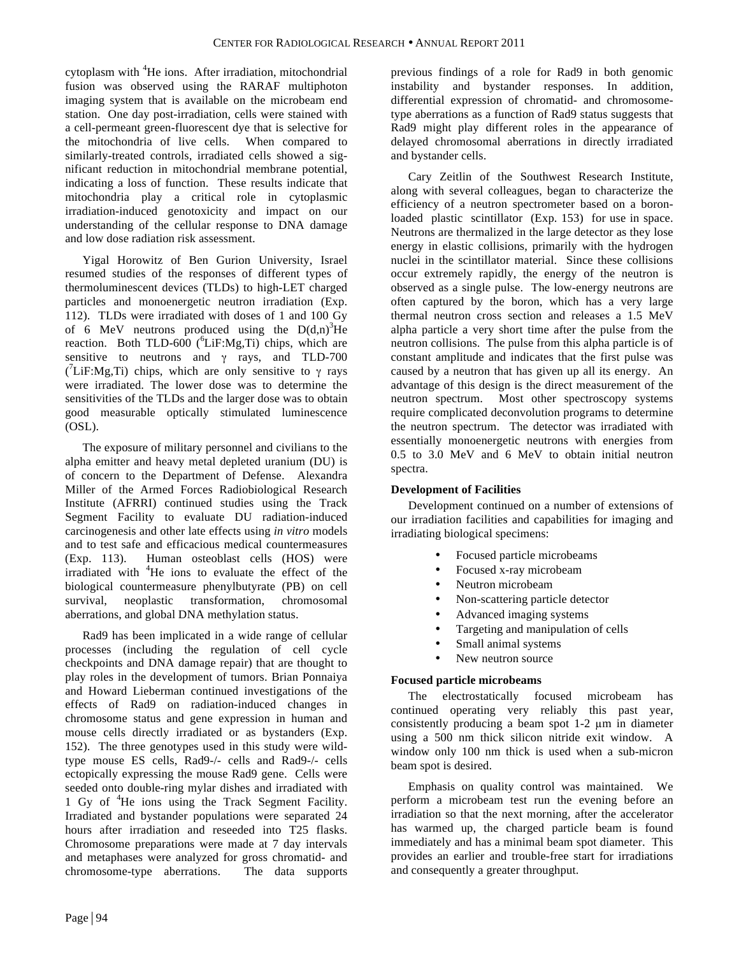cytoplasm with <sup>4</sup>He ions. After irradiation, mitochondrial fusion was observed using the RARAF multiphoton imaging system that is available on the microbeam end station. One day post-irradiation, cells were stained with a cell-permeant green-fluorescent dye that is selective for the mitochondria of live cells. When compared to similarly-treated controls, irradiated cells showed a significant reduction in mitochondrial membrane potential, indicating a loss of function. These results indicate that mitochondria play a critical role in cytoplasmic irradiation-induced genotoxicity and impact on our understanding of the cellular response to DNA damage and low dose radiation risk assessment.

Yigal Horowitz of Ben Gurion University, Israel resumed studies of the responses of different types of thermoluminescent devices (TLDs) to high-LET charged particles and monoenergetic neutron irradiation (Exp. 112). TLDs were irradiated with doses of 1 and 100 Gy of 6 MeV neutrons produced using the  $D(d,n)^3$ He reaction. Both TLD-600 ( $^6$ LiF:Mg,Ti) chips, which are sensitive to neutrons and γ rays, and TLD-700 (<sup>7</sup>LiF:Mg,Ti) chips, which are only sensitive to  $\gamma$  rays were irradiated. The lower dose was to determine the sensitivities of the TLDs and the larger dose was to obtain good measurable optically stimulated luminescence (OSL).

The exposure of military personnel and civilians to the alpha emitter and heavy metal depleted uranium (DU) is of concern to the Department of Defense. Alexandra Miller of the Armed Forces Radiobiological Research Institute (AFRRI) continued studies using the Track Segment Facility to evaluate DU radiation-induced carcinogenesis and other late effects using *in vitro* models and to test safe and efficacious medical countermeasures (Exp. 113). Human osteoblast cells (HOS) were irradiated with <sup>4</sup>He ions to evaluate the effect of the biological countermeasure phenylbutyrate (PB) on cell survival, neoplastic transformation, chromosomal aberrations, and global DNA methylation status.

Rad9 has been implicated in a wide range of cellular processes (including the regulation of cell cycle checkpoints and DNA damage repair) that are thought to play roles in the development of tumors. Brian Ponnaiya and Howard Lieberman continued investigations of the effects of Rad9 on radiation-induced changes in chromosome status and gene expression in human and mouse cells directly irradiated or as bystanders (Exp. 152). The three genotypes used in this study were wildtype mouse ES cells, Rad9-/- cells and Rad9-/- cells ectopically expressing the mouse Rad9 gene. Cells were seeded onto double-ring mylar dishes and irradiated with 1 Gy of <sup>4</sup>He ions using the Track Segment Facility. Irradiated and bystander populations were separated 24 hours after irradiation and reseeded into T25 flasks. Chromosome preparations were made at 7 day intervals and metaphases were analyzed for gross chromatid- and chromosome-type aberrations. The data supports

previous findings of a role for Rad9 in both genomic instability and bystander responses. In addition, differential expression of chromatid- and chromosometype aberrations as a function of Rad9 status suggests that Rad9 might play different roles in the appearance of delayed chromosomal aberrations in directly irradiated and bystander cells.

Cary Zeitlin of the Southwest Research Institute, along with several colleagues, began to characterize the efficiency of a neutron spectrometer based on a boronloaded plastic scintillator (Exp. 153) for use in space. Neutrons are thermalized in the large detector as they lose energy in elastic collisions, primarily with the hydrogen nuclei in the scintillator material. Since these collisions occur extremely rapidly, the energy of the neutron is observed as a single pulse. The low-energy neutrons are often captured by the boron, which has a very large thermal neutron cross section and releases a 1.5 MeV alpha particle a very short time after the pulse from the neutron collisions. The pulse from this alpha particle is of constant amplitude and indicates that the first pulse was caused by a neutron that has given up all its energy. An advantage of this design is the direct measurement of the neutron spectrum. Most other spectroscopy systems require complicated deconvolution programs to determine the neutron spectrum. The detector was irradiated with essentially monoenergetic neutrons with energies from 0.5 to 3.0 MeV and 6 MeV to obtain initial neutron spectra.

# **Development of Facilities**

Development continued on a number of extensions of our irradiation facilities and capabilities for imaging and irradiating biological specimens:

- Focused particle microbeams
- Focused x-ray microbeam
- Neutron microbeam
- Non-scattering particle detector
- Advanced imaging systems
- Targeting and manipulation of cells
- Small animal systems
- New neutron source

# **Focused particle microbeams**

The electrostatically focused microbeam has continued operating very reliably this past year, consistently producing a beam spot 1-2 µm in diameter using a 500 nm thick silicon nitride exit window. A window only 100 nm thick is used when a sub-micron beam spot is desired.

Emphasis on quality control was maintained. We perform a microbeam test run the evening before an irradiation so that the next morning, after the accelerator has warmed up, the charged particle beam is found immediately and has a minimal beam spot diameter. This provides an earlier and trouble-free start for irradiations and consequently a greater throughput.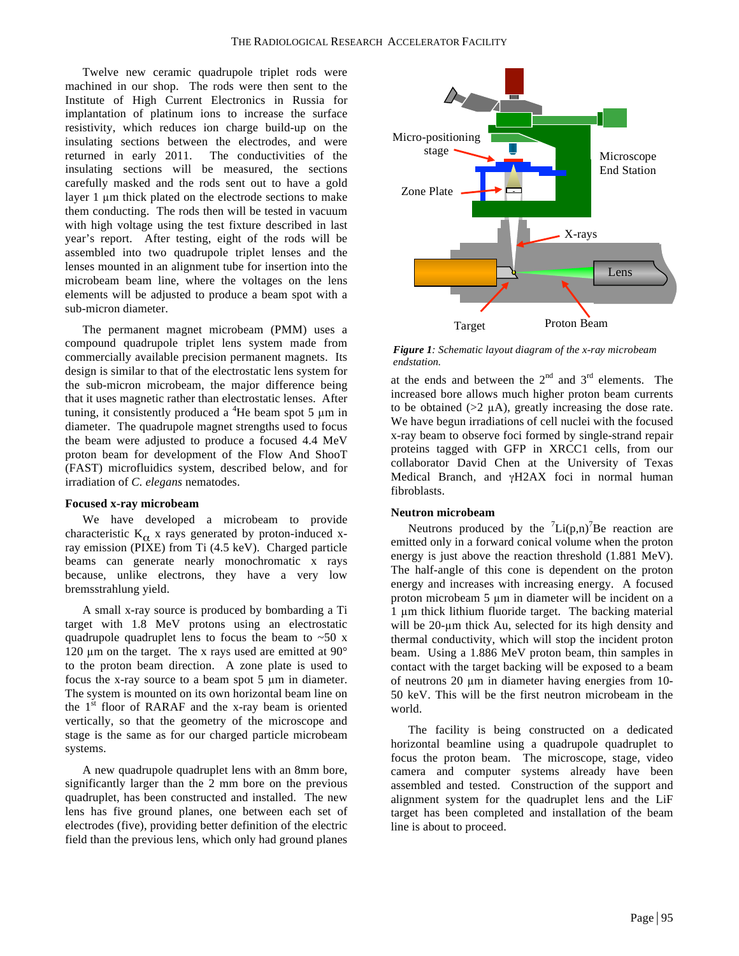Twelve new ceramic quadrupole triplet rods were machined in our shop. The rods were then sent to the Institute of High Current Electronics in Russia for implantation of platinum ions to increase the surface resistivity, which reduces ion charge build-up on the insulating sections between the electrodes, and were returned in early 2011. The conductivities of the insulating sections will be measured, the sections carefully masked and the rods sent out to have a gold layer 1 µm thick plated on the electrode sections to make them conducting. The rods then will be tested in vacuum with high voltage using the test fixture described in last year's report. After testing, eight of the rods will be assembled into two quadrupole triplet lenses and the lenses mounted in an alignment tube for insertion into the microbeam beam line, where the voltages on the lens elements will be adjusted to produce a beam spot with a sub-micron diameter.

The permanent magnet microbeam (PMM) uses a compound quadrupole triplet lens system made from commercially available precision permanent magnets. Its design is similar to that of the electrostatic lens system for the sub-micron microbeam, the major difference being that it uses magnetic rather than electrostatic lenses. After tuning, it consistently produced a  ${}^{4}$ He beam spot 5  $\mu$ m in diameter. The quadrupole magnet strengths used to focus the beam were adjusted to produce a focused 4.4 MeV proton beam for development of the Flow And ShooT (FAST) microfluidics system, described below, and for irradiation of *C. elegans* nematodes.

#### **Focused x-ray microbeam**

We have developed a microbeam to provide characteristic  $K_{\alpha}$  x rays generated by proton-induced xray emission (PIXE) from Ti (4.5 keV). Charged particle beams can generate nearly monochromatic x rays because, unlike electrons, they have a very low bremsstrahlung yield.

A small x-ray source is produced by bombarding a Ti target with 1.8 MeV protons using an electrostatic quadrupole quadruplet lens to focus the beam to  $\sim 50$  x 120  $\mu$ m on the target. The x rays used are emitted at 90 $^{\circ}$ to the proton beam direction. A zone plate is used to focus the x-ray source to a beam spot 5 µm in diameter. The system is mounted on its own horizontal beam line on the  $1<sup>st</sup>$  floor of RARAF and the x-ray beam is oriented vertically, so that the geometry of the microscope and stage is the same as for our charged particle microbeam systems.

A new quadrupole quadruplet lens with an 8mm bore, significantly larger than the 2 mm bore on the previous quadruplet, has been constructed and installed. The new lens has five ground planes, one between each set of electrodes (five), providing better definition of the electric field than the previous lens, which only had ground planes



*Figure 1: Schematic layout diagram of the x-ray microbeam endstation.*

at the ends and between the  $2<sup>nd</sup>$  and  $3<sup>rd</sup>$  elements. The increased bore allows much higher proton beam currents to be obtained  $(>= 2 \mu A)$ , greatly increasing the dose rate. We have begun irradiations of cell nuclei with the focused x-ray beam to observe foci formed by single-strand repair proteins tagged with GFP in XRCC1 cells, from our collaborator David Chen at the University of Texas Medical Branch, and γH2AX foci in normal human fibroblasts.

#### **Neutron microbeam**

Neutrons produced by the  $\binom{7}{1}$ Li(p,n)<sup>7</sup>Be reaction are emitted only in a forward conical volume when the proton energy is just above the reaction threshold (1.881 MeV). The half-angle of this cone is dependent on the proton energy and increases with increasing energy. A focused proton microbeam 5 µm in diameter will be incident on a 1 µm thick lithium fluoride target. The backing material will be 20-um thick Au, selected for its high density and thermal conductivity, which will stop the incident proton beam. Using a 1.886 MeV proton beam, thin samples in contact with the target backing will be exposed to a beam of neutrons 20 µm in diameter having energies from 10- 50 keV. This will be the first neutron microbeam in the world.

The facility is being constructed on a dedicated horizontal beamline using a quadrupole quadruplet to focus the proton beam. The microscope, stage, video camera and computer systems already have been assembled and tested. Construction of the support and alignment system for the quadruplet lens and the LiF target has been completed and installation of the beam line is about to proceed.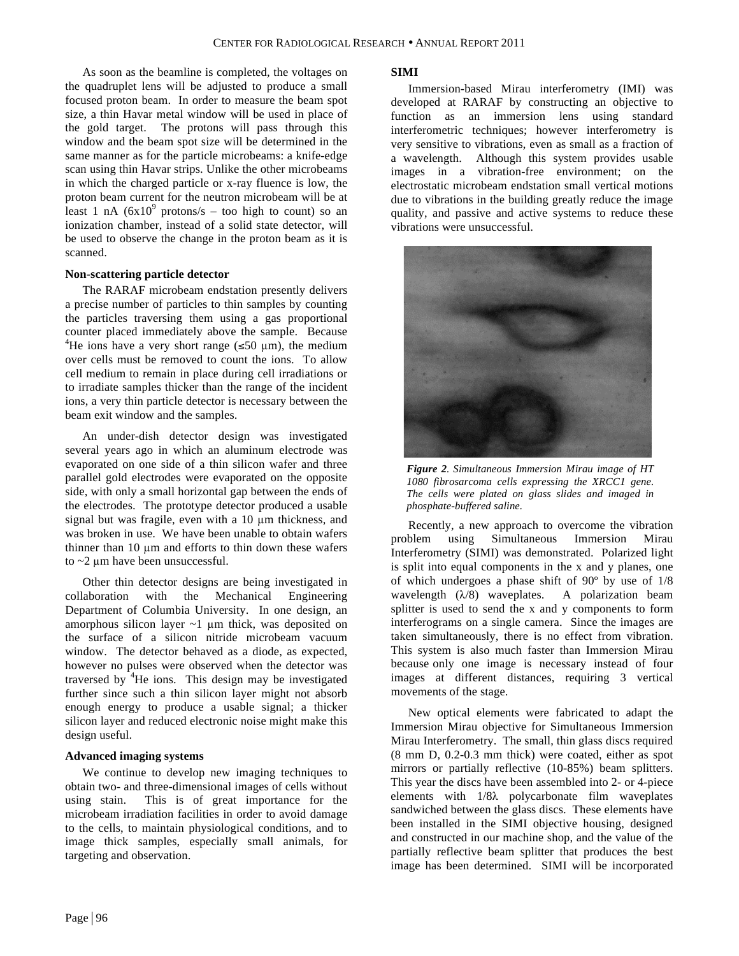As soon as the beamline is completed, the voltages on the quadruplet lens will be adjusted to produce a small focused proton beam. In order to measure the beam spot size, a thin Havar metal window will be used in place of the gold target. The protons will pass through this window and the beam spot size will be determined in the same manner as for the particle microbeams: a knife-edge scan using thin Havar strips. Unlike the other microbeams in which the charged particle or x-ray fluence is low, the proton beam current for the neutron microbeam will be at least 1 nA  $(6x10^9 \text{ protons/s} - \text{too high to count})$  so an ionization chamber, instead of a solid state detector, will be used to observe the change in the proton beam as it is scanned.

#### **Non-scattering particle detector**

The RARAF microbeam endstation presently delivers a precise number of particles to thin samples by counting the particles traversing them using a gas proportional counter placed immediately above the sample. Because <sup>4</sup>He ions have a very short range ( $\leq 50 \text{ }\mu\text{m}$ ), the medium over cells must be removed to count the ions. To allow cell medium to remain in place during cell irradiations or to irradiate samples thicker than the range of the incident ions, a very thin particle detector is necessary between the beam exit window and the samples.

An under-dish detector design was investigated several years ago in which an aluminum electrode was evaporated on one side of a thin silicon wafer and three parallel gold electrodes were evaporated on the opposite side, with only a small horizontal gap between the ends of the electrodes. The prototype detector produced a usable signal but was fragile, even with a 10  $\mu$ m thickness, and was broken in use. We have been unable to obtain wafers thinner than  $10 \mu m$  and efforts to thin down these wafers to ~2 µm have been unsuccessful.

Other thin detector designs are being investigated in collaboration with the Mechanical Engineering Department of Columbia University. In one design, an amorphous silicon layer  $\sim$ 1  $\mu$ m thick, was deposited on the surface of a silicon nitride microbeam vacuum window. The detector behaved as a diode, as expected, however no pulses were observed when the detector was traversed by  $4$ He ions. This design may be investigated further since such a thin silicon layer might not absorb enough energy to produce a usable signal; a thicker silicon layer and reduced electronic noise might make this design useful.

#### **Advanced imaging systems**

We continue to develop new imaging techniques to obtain two- and three-dimensional images of cells without using stain. This is of great importance for the microbeam irradiation facilities in order to avoid damage to the cells, to maintain physiological conditions, and to image thick samples, especially small animals, for targeting and observation.

#### **SIMI**

Immersion-based Mirau interferometry (IMI) was developed at RARAF by constructing an objective to function as an immersion lens using standard interferometric techniques; however interferometry is very sensitive to vibrations, even as small as a fraction of a wavelength. Although this system provides usable images in a vibration-free environment; on the electrostatic microbeam endstation small vertical motions due to vibrations in the building greatly reduce the image quality, and passive and active systems to reduce these vibrations were unsuccessful.



*Figure 2. Simultaneous Immersion Mirau image of HT 1080 fibrosarcoma cells expressing the XRCC1 gene. The cells were plated on glass slides and imaged in phosphate-buffered saline.*

Recently, a new approach to overcome the vibration problem using Simultaneous Immersion Mirau Interferometry (SIMI) was demonstrated. Polarized light is split into equal components in the x and y planes, one of which undergoes a phase shift of 90º by use of 1/8 wavelength  $(\lambda/8)$  waveplates. A polarization beam splitter is used to send the x and y components to form interferograms on a single camera. Since the images are taken simultaneously, there is no effect from vibration. This system is also much faster than Immersion Mirau because only one image is necessary instead of four images at different distances, requiring 3 vertical movements of the stage.

New optical elements were fabricated to adapt the Immersion Mirau objective for Simultaneous Immersion Mirau Interferometry. The small, thin glass discs required (8 mm D, 0.2-0.3 mm thick) were coated, either as spot mirrors or partially reflective (10-85%) beam splitters. This year the discs have been assembled into 2- or 4-piece elements with 1/8λ polycarbonate film waveplates sandwiched between the glass discs. These elements have been installed in the SIMI objective housing, designed and constructed in our machine shop, and the value of the partially reflective beam splitter that produces the best image has been determined. SIMI will be incorporated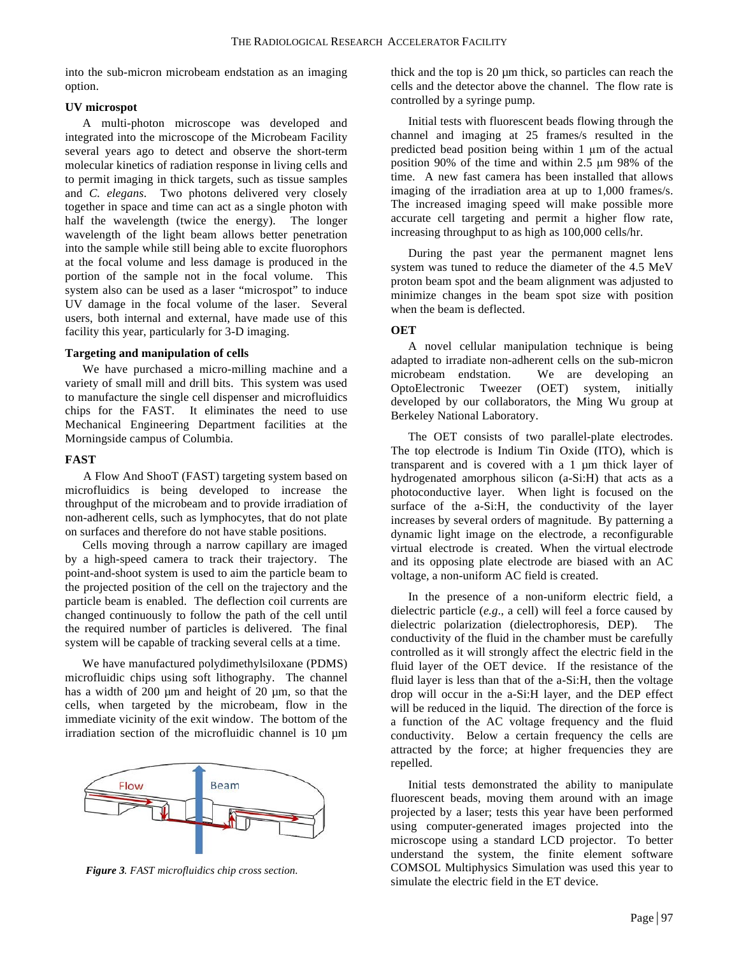into the sub-micron microbeam endstation as an imaging option.

## **UV microspot**

A multi-photon microscope was developed and integrated into the microscope of the Microbeam Facility several years ago to detect and observe the short-term molecular kinetics of radiation response in living cells and to permit imaging in thick targets, such as tissue samples and *C. elegans*. Two photons delivered very closely together in space and time can act as a single photon with half the wavelength (twice the energy). The longer wavelength of the light beam allows better penetration into the sample while still being able to excite fluorophors at the focal volume and less damage is produced in the portion of the sample not in the focal volume. This system also can be used as a laser "microspot" to induce UV damage in the focal volume of the laser. Several users, both internal and external, have made use of this facility this year, particularly for 3-D imaging.

## **Targeting and manipulation of cells**

We have purchased a micro-milling machine and a variety of small mill and drill bits. This system was used to manufacture the single cell dispenser and microfluidics chips for the FAST. It eliminates the need to use Mechanical Engineering Department facilities at the Morningside campus of Columbia.

## **FAST**

A Flow And ShooT (FAST) targeting system based on microfluidics is being developed to increase the throughput of the microbeam and to provide irradiation of non-adherent cells, such as lymphocytes, that do not plate on surfaces and therefore do not have stable positions.

Cells moving through a narrow capillary are imaged by a high-speed camera to track their trajectory. The point-and-shoot system is used to aim the particle beam to the projected position of the cell on the trajectory and the particle beam is enabled. The deflection coil currents are changed continuously to follow the path of the cell until the required number of particles is delivered. The final system will be capable of tracking several cells at a time.

We have manufactured polydimethylsiloxane (PDMS) microfluidic chips using soft lithography. The channel has a width of 200  $\mu$ m and height of 20  $\mu$ m, so that the cells, when targeted by the microbeam, flow in the immediate vicinity of the exit window. The bottom of the irradiation section of the microfluidic channel is 10 µm



*Figure 3. FAST microfluidics chip cross section.*

thick and the top is 20 µm thick, so particles can reach the cells and the detector above the channel. The flow rate is controlled by a syringe pump.

Initial tests with fluorescent beads flowing through the channel and imaging at 25 frames/s resulted in the predicted bead position being within 1 µm of the actual position 90% of the time and within 2.5 µm 98% of the time. A new fast camera has been installed that allows imaging of the irradiation area at up to 1,000 frames/s. The increased imaging speed will make possible more accurate cell targeting and permit a higher flow rate, increasing throughput to as high as 100,000 cells/hr.

During the past year the permanent magnet lens system was tuned to reduce the diameter of the 4.5 MeV proton beam spot and the beam alignment was adjusted to minimize changes in the beam spot size with position when the beam is deflected.

## **OET**

A novel cellular manipulation technique is being adapted to irradiate non-adherent cells on the sub-micron microbeam endstation. We are developing an OptoElectronic Tweezer (OET) system, initially developed by our collaborators, the Ming Wu group at Berkeley National Laboratory.

The OET consists of two parallel-plate electrodes. The top electrode is Indium Tin Oxide (ITO), which is transparent and is covered with a 1 µm thick layer of hydrogenated amorphous silicon (a-Si:H) that acts as a photoconductive layer. When light is focused on the surface of the a-Si:H, the conductivity of the layer increases by several orders of magnitude. By patterning a dynamic light image on the electrode, a reconfigurable virtual electrode is created. When the virtual electrode and its opposing plate electrode are biased with an AC voltage, a non-uniform AC field is created.

In the presence of a non-uniform electric field, a dielectric particle (*e.g*., a cell) will feel a force caused by dielectric polarization (dielectrophoresis, DEP). The conductivity of the fluid in the chamber must be carefully controlled as it will strongly affect the electric field in the fluid layer of the OET device. If the resistance of the fluid layer is less than that of the a-Si:H, then the voltage drop will occur in the a-Si:H layer, and the DEP effect will be reduced in the liquid. The direction of the force is a function of the AC voltage frequency and the fluid conductivity. Below a certain frequency the cells are attracted by the force; at higher frequencies they are repelled.

Initial tests demonstrated the ability to manipulate fluorescent beads, moving them around with an image projected by a laser; tests this year have been performed using computer-generated images projected into the microscope using a standard LCD projector. To better understand the system, the finite element software COMSOL Multiphysics Simulation was used this year to simulate the electric field in the ET device.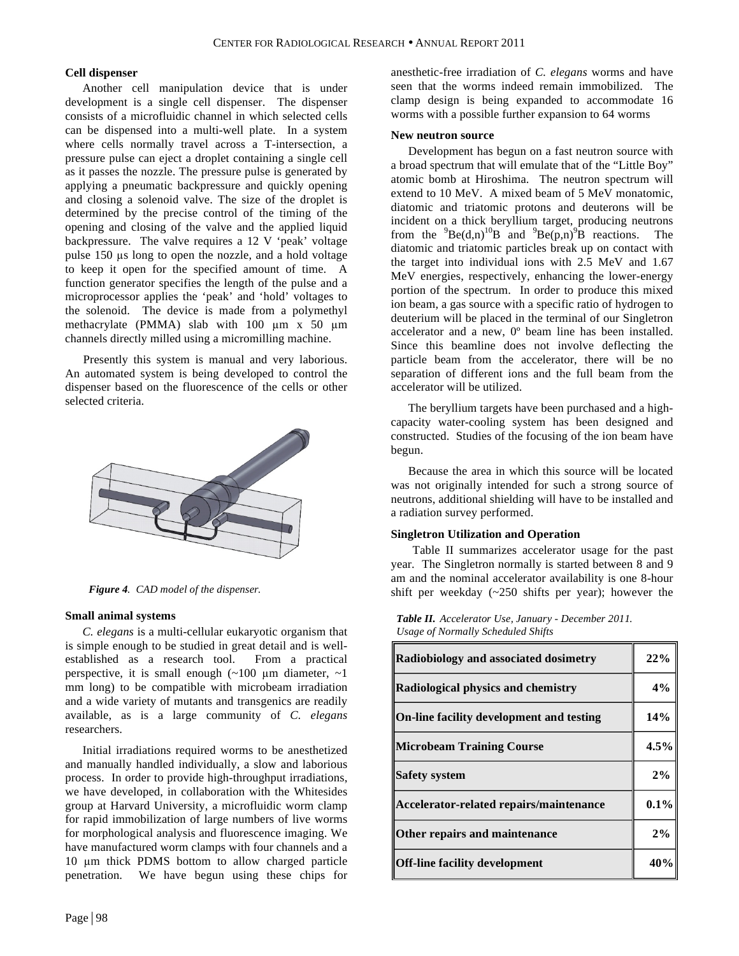## **Cell dispenser**

Another cell manipulation device that is under development is a single cell dispenser. The dispenser consists of a microfluidic channel in which selected cells can be dispensed into a multi-well plate. In a system where cells normally travel across a T-intersection, a pressure pulse can eject a droplet containing a single cell as it passes the nozzle. The pressure pulse is generated by applying a pneumatic backpressure and quickly opening and closing a solenoid valve. The size of the droplet is determined by the precise control of the timing of the opening and closing of the valve and the applied liquid backpressure. The valve requires a 12 V 'peak' voltage pulse 150 µs long to open the nozzle, and a hold voltage to keep it open for the specified amount of time. A function generator specifies the length of the pulse and a microprocessor applies the 'peak' and 'hold' voltages to the solenoid. The device is made from a polymethyl methacrylate (PMMA) slab with 100  $\mu$ m x 50  $\mu$ m channels directly milled using a micromilling machine.

Presently this system is manual and very laborious. An automated system is being developed to control the dispenser based on the fluorescence of the cells or other selected criteria.



*Figure 4. CAD model of the dispenser.*

#### **Small animal systems**

*C. elegans* is a multi-cellular eukaryotic organism that is simple enough to be studied in great detail and is wellestablished as a research tool. From a practical perspective, it is small enough  $(-100 \mu m)$  diameter,  $-1$ mm long) to be compatible with microbeam irradiation and a wide variety of mutants and transgenics are readily available, as is a large community of *C. elegans* researchers.

Initial irradiations required worms to be anesthetized and manually handled individually, a slow and laborious process. In order to provide high-throughput irradiations, we have developed, in collaboration with the Whitesides group at Harvard University, a microfluidic worm clamp for rapid immobilization of large numbers of live worms for morphological analysis and fluorescence imaging. We have manufactured worm clamps with four channels and a 10 µm thick PDMS bottom to allow charged particle penetration. We have begun using these chips for anesthetic-free irradiation of *C. elegans* worms and have seen that the worms indeed remain immobilized. The clamp design is being expanded to accommodate 16 worms with a possible further expansion to 64 worms

#### **New neutron source**

Development has begun on a fast neutron source with a broad spectrum that will emulate that of the "Little Boy" atomic bomb at Hiroshima. The neutron spectrum will extend to 10 MeV. A mixed beam of 5 MeV monatomic, diatomic and triatomic protons and deuterons will be incident on a thick beryllium target, producing neutrons from the  ${}^{9}Be(d,n){}^{10}B$  and  ${}^{9}Be(p,n){}^{9}B$  reactions. The diatomic and triatomic particles break up on contact with the target into individual ions with 2.5 MeV and 1.67 MeV energies, respectively, enhancing the lower-energy portion of the spectrum. In order to produce this mixed ion beam, a gas source with a specific ratio of hydrogen to deuterium will be placed in the terminal of our Singletron accelerator and a new, 0º beam line has been installed. Since this beamline does not involve deflecting the particle beam from the accelerator, there will be no separation of different ions and the full beam from the accelerator will be utilized.

The beryllium targets have been purchased and a highcapacity water-cooling system has been designed and constructed. Studies of the focusing of the ion beam have begun.

Because the area in which this source will be located was not originally intended for such a strong source of neutrons, additional shielding will have to be installed and a radiation survey performed.

## **Singletron Utilization and Operation**

Table II summarizes accelerator usage for the past year. The Singletron normally is started between 8 and 9 am and the nominal accelerator availability is one 8-hour shift per weekday (~250 shifts per year); however the

*Table II. Accelerator Use, January - December 2011. Usage of Normally Scheduled Shifts*

| <b>Radiobiology and associated dosimetry</b> |      |  |  |
|----------------------------------------------|------|--|--|
| <b>Radiological physics and chemistry</b>    |      |  |  |
| On-line facility development and testing     | 14%  |  |  |
| Microbeam Training Course                    | 4.5% |  |  |
| <b>Safety system</b>                         | 2%   |  |  |
| Accelerator-related repairs/maintenance      | 0.1% |  |  |
| <b>Other repairs and maintenance</b>         | 2%   |  |  |
| Off-line facility development                | 40%  |  |  |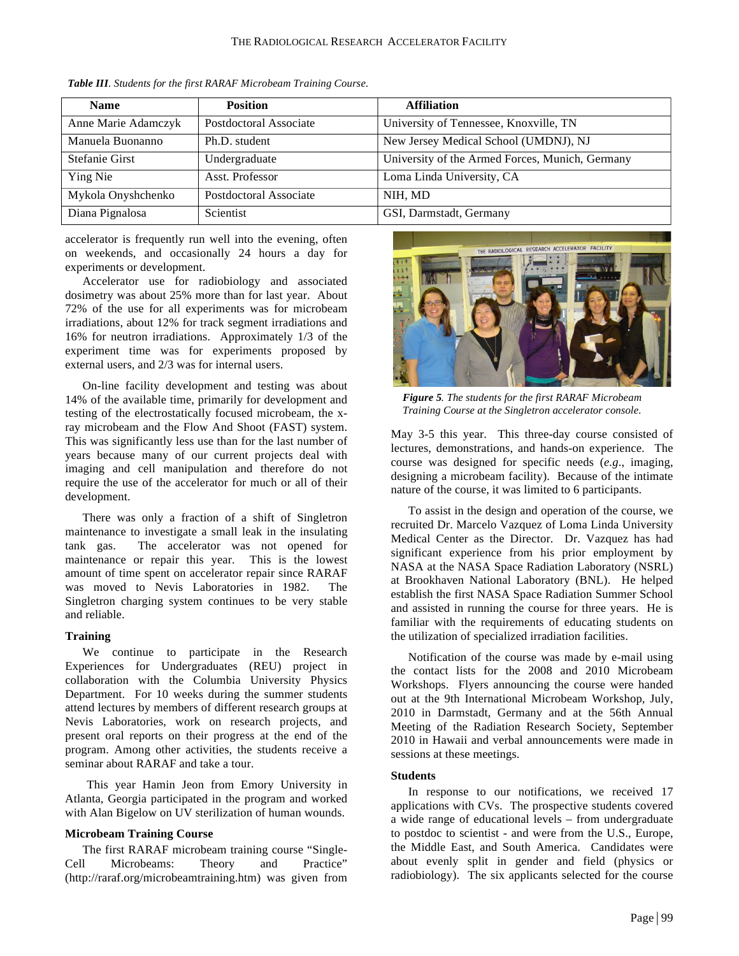| <b>Name</b>         | <b>Position</b>        | <b>Affiliation</b>                              |
|---------------------|------------------------|-------------------------------------------------|
| Anne Marie Adamczyk | Postdoctoral Associate | University of Tennessee, Knoxville, TN          |
| Manuela Buonanno    | Ph.D. student          | New Jersey Medical School (UMDNJ), NJ           |
| Stefanie Girst      | Undergraduate          | University of the Armed Forces, Munich, Germany |
| Ying Nie            | Asst. Professor        | Loma Linda University, CA                       |
| Mykola Onyshchenko  | Postdoctoral Associate | NIH, MD                                         |
| Diana Pignalosa     | Scientist              | GSI, Darmstadt, Germany                         |

*Table III. Students for the first RARAF Microbeam Training Course.*

accelerator is frequently run well into the evening, often on weekends, and occasionally 24 hours a day for experiments or development.

Accelerator use for radiobiology and associated dosimetry was about 25% more than for last year. About 72% of the use for all experiments was for microbeam irradiations, about 12% for track segment irradiations and 16% for neutron irradiations. Approximately 1/3 of the experiment time was for experiments proposed by external users, and 2/3 was for internal users.

On-line facility development and testing was about 14% of the available time, primarily for development and testing of the electrostatically focused microbeam, the xray microbeam and the Flow And Shoot (FAST) system. This was significantly less use than for the last number of years because many of our current projects deal with imaging and cell manipulation and therefore do not require the use of the accelerator for much or all of their development.

There was only a fraction of a shift of Singletron maintenance to investigate a small leak in the insulating tank gas. The accelerator was not opened for maintenance or repair this year. This is the lowest amount of time spent on accelerator repair since RARAF was moved to Nevis Laboratories in 1982. The Singletron charging system continues to be very stable and reliable.

## **Training**

We continue to participate in the Research Experiences for Undergraduates (REU) project in collaboration with the Columbia University Physics Department. For 10 weeks during the summer students attend lectures by members of different research groups at Nevis Laboratories, work on research projects, and present oral reports on their progress at the end of the program. Among other activities, the students receive a seminar about RARAF and take a tour.

This year Hamin Jeon from Emory University in Atlanta, Georgia participated in the program and worked with Alan Bigelow on UV sterilization of human wounds.

## **Microbeam Training Course**

The first RARAF microbeam training course "Single-Cell Microbeams: Theory and Practice" (http://raraf.org/microbeamtraining.htm) was given from



*Figure 5. The students for the first RARAF Microbeam Training Course at the Singletron accelerator console.*

May 3-5 this year. This three-day course consisted of lectures, demonstrations, and hands-on experience. The course was designed for specific needs (*e.g*., imaging, designing a microbeam facility). Because of the intimate nature of the course, it was limited to 6 participants.

To assist in the design and operation of the course, we recruited Dr. Marcelo Vazquez of Loma Linda University Medical Center as the Director. Dr. Vazquez has had significant experience from his prior employment by NASA at the NASA Space Radiation Laboratory (NSRL) at Brookhaven National Laboratory (BNL). He helped establish the first NASA Space Radiation Summer School and assisted in running the course for three years. He is familiar with the requirements of educating students on the utilization of specialized irradiation facilities.

Notification of the course was made by e-mail using the contact lists for the 2008 and 2010 Microbeam Workshops. Flyers announcing the course were handed out at the 9th International Microbeam Workshop, July, 2010 in Darmstadt, Germany and at the 56th Annual Meeting of the Radiation Research Society, September 2010 in Hawaii and verbal announcements were made in sessions at these meetings.

## **Students**

In response to our notifications, we received 17 applications with CVs. The prospective students covered a wide range of educational levels – from undergraduate to postdoc to scientist - and were from the U.S., Europe, the Middle East, and South America. Candidates were about evenly split in gender and field (physics or radiobiology). The six applicants selected for the course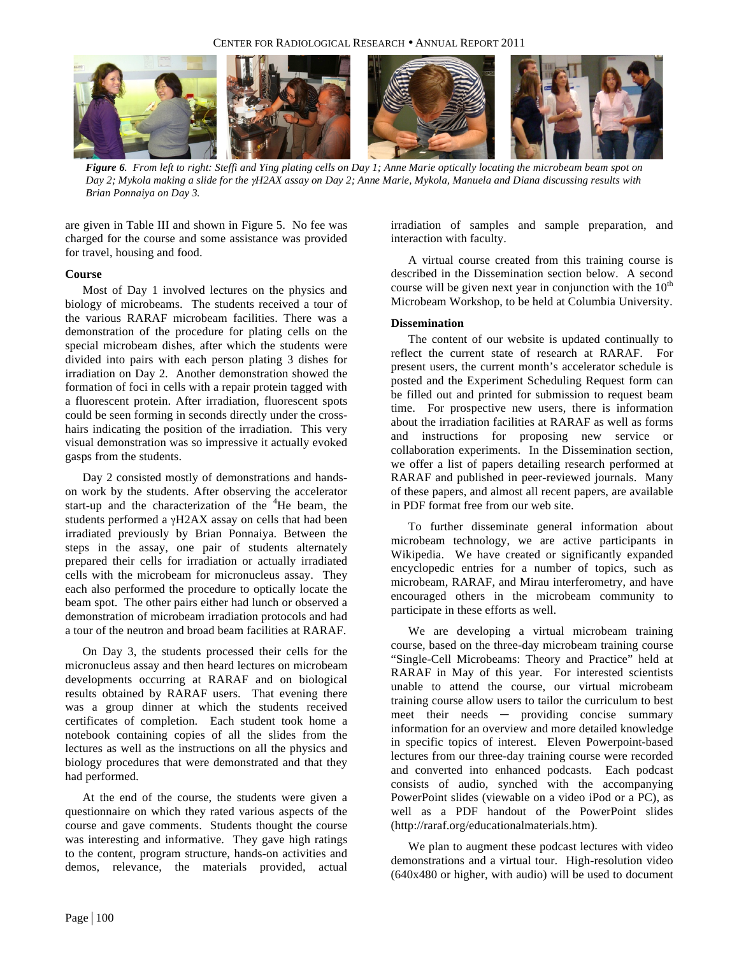

*Figure 6. From left to right: Steffi and Ying plating cells on Day 1; Anne Marie optically locating the microbeam beam spot on Day 2; Mykola making a slide for the* γ*H2AX assay on Day 2; Anne Marie, Mykola, Manuela and Diana discussing results with Brian Ponnaiya on Day 3.*

are given in Table III and shown in Figure 5. No fee was charged for the course and some assistance was provided for travel, housing and food.

## **Course**

Most of Day 1 involved lectures on the physics and biology of microbeams. The students received a tour of the various RARAF microbeam facilities. There was a demonstration of the procedure for plating cells on the special microbeam dishes, after which the students were divided into pairs with each person plating 3 dishes for irradiation on Day 2. Another demonstration showed the formation of foci in cells with a repair protein tagged with a fluorescent protein. After irradiation, fluorescent spots could be seen forming in seconds directly under the crosshairs indicating the position of the irradiation. This very visual demonstration was so impressive it actually evoked gasps from the students.

Day 2 consisted mostly of demonstrations and handson work by the students. After observing the accelerator start-up and the characterization of the  $4$ He beam, the students performed a γH2AX assay on cells that had been irradiated previously by Brian Ponnaiya. Between the steps in the assay, one pair of students alternately prepared their cells for irradiation or actually irradiated cells with the microbeam for micronucleus assay. They each also performed the procedure to optically locate the beam spot. The other pairs either had lunch or observed a demonstration of microbeam irradiation protocols and had a tour of the neutron and broad beam facilities at RARAF.

On Day 3, the students processed their cells for the micronucleus assay and then heard lectures on microbeam developments occurring at RARAF and on biological results obtained by RARAF users. That evening there was a group dinner at which the students received certificates of completion. Each student took home a notebook containing copies of all the slides from the lectures as well as the instructions on all the physics and biology procedures that were demonstrated and that they had performed.

At the end of the course, the students were given a questionnaire on which they rated various aspects of the course and gave comments. Students thought the course was interesting and informative. They gave high ratings to the content, program structure, hands-on activities and demos, relevance, the materials provided, actual

irradiation of samples and sample preparation, and interaction with faculty.

A virtual course created from this training course is described in the Dissemination section below. A second course will be given next year in conjunction with the  $10<sup>th</sup>$ Microbeam Workshop, to be held at Columbia University.

# **Dissemination**

The content of our website is updated continually to reflect the current state of research at RARAF. For present users, the current month's accelerator schedule is posted and the Experiment Scheduling Request form can be filled out and printed for submission to request beam time. For prospective new users, there is information about the irradiation facilities at RARAF as well as forms and instructions for proposing new service or collaboration experiments. In the Dissemination section, we offer a list of papers detailing research performed at RARAF and published in peer-reviewed journals. Many of these papers, and almost all recent papers, are available in PDF format free from our web site.

To further disseminate general information about microbeam technology, we are active participants in Wikipedia. We have created or significantly expanded encyclopedic entries for a number of topics, such as microbeam, RARAF, and Mirau interferometry, and have encouraged others in the microbeam community to participate in these efforts as well.

We are developing a virtual microbeam training course, based on the three-day microbeam training course "Single-Cell Microbeams: Theory and Practice" held at RARAF in May of this year. For interested scientists unable to attend the course, our virtual microbeam training course allow users to tailor the curriculum to best meet their needs — providing concise summary information for an overview and more detailed knowledge in specific topics of interest. Eleven Powerpoint-based lectures from our three-day training course were recorded and converted into enhanced podcasts. Each podcast consists of audio, synched with the accompanying PowerPoint slides (viewable on a video iPod or a PC), as well as a PDF handout of the PowerPoint slides (http://raraf.org/educationalmaterials.htm).

We plan to augment these podcast lectures with video demonstrations and a virtual tour. High-resolution video (640x480 or higher, with audio) will be used to document